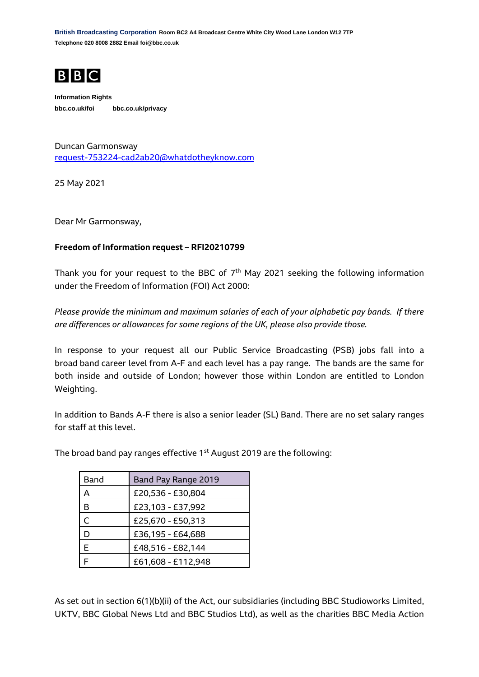**British Broadcasting Corporation Room BC2 A4 Broadcast Centre White City Wood Lane London W12 7TP Telephone 020 8008 2882 Email foi@bbc.co.uk**



**Information Rights bbc.co.uk/foi bbc.co.uk/privacy**

Duncan Garmonsway [request-753224-cad2ab20@whatdotheyknow.com](mailto:xxxxxxxxxxxxxxxxxxxxxxx@xxxxxxxxxxxxxx.xxx)

25 May 2021

Dear Mr Garmonsway,

## **Freedom of Information request – RFI20210799**

Thank you for your request to the BBC of  $7<sup>th</sup>$  May 2021 seeking the following information under the Freedom of Information (FOI) Act 2000:

*Please provide the minimum and maximum salaries of each of your alphabetic pay bands. If there are differences or allowances for some regions of the UK, please also provide those.*

In response to your request all our Public Service Broadcasting (PSB) jobs fall into a broad band career level from A-F and each level has a pay range. The bands are the same for both inside and outside of London; however those within London are entitled to London Weighting.

In addition to Bands A-F there is also a senior leader (SL) Band. There are no set salary ranges for staff at this level.

The broad band pay ranges effective 1<sup>st</sup> August 2019 are the following:

| Band | Band Pay Range 2019 |
|------|---------------------|
| А    | £20,536 - £30,804   |
| в    | £23,103 - £37,992   |
| C    | £25,670 - £50,313   |
|      | £36,195 - £64,688   |
| F    | £48,516 - £82,144   |
|      | £61,608 - £112,948  |

As set out in section 6(1)(b)(ii) of the Act, our subsidiaries (including BBC Studioworks Limited, UKTV, BBC Global News Ltd and BBC Studios Ltd), as well as the charities BBC Media Action